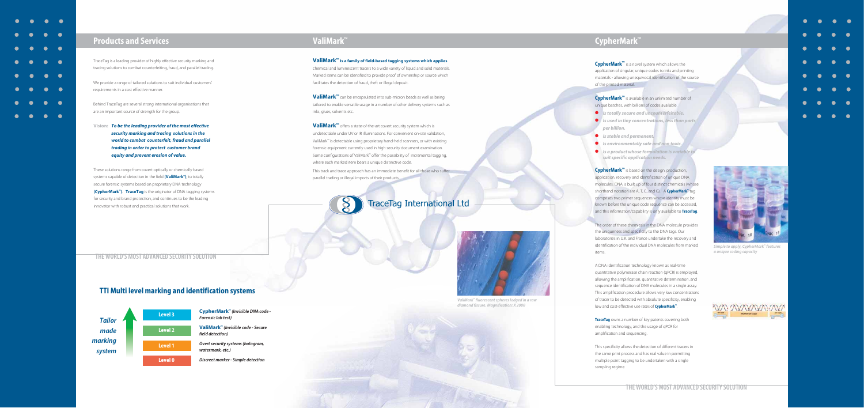

### **Products and Services**

TraceTag is a leading provider of highly effective security marking and tracing solutions to combat counterfeiting, fraud, and parallel trading.

We provide a range of tailored solutions to suit individual customers' requirements in a cost effective manner.

Behind TraceTag are several strong international organisations that are an important source of strength for the group.

**Vision:** *To be the leading provider of the most effective security marking and tracing solutions in the world to combat counterfeit, fraud and parallel trading in order to protect customer brand equity and prevent erosion of value.* 

These solutions range from covert optically or chemically based systems capable of detection in the field **(ValiMark™)**, to totally secure forensic systems based on proprietary DNA technology **(CypherMark™)**. **TraceTag** is the originator of DNA tagging systems for security and brand protection, and continues to be the leading innovator with robust and practical solutions that work.

**ValiMark™** can be encapsulated into sub-micron beads as well as being tailored to enable versatile usage in a number of other delivery systems such as inks, glues, solvents etc.

**ValiMark™** offers a state-of-the-art covert security system which is undetectable under UV or IR illuminations. For convenient on-site validation, ValiMark™ is detectable using proprietary hand-held scanners, or with existing forensic equipment currently used in high security document examination. Some configurations of ValiMark™ offer the possibility of incremental tagging, where each marked item bears a unique distinctive code.

### **TTI Multi level marking and identification systems**



# **ValiMark™**

**ValiMark™ is a family of field-based tagging systems which applies** chemical and luminescent tracers to a wide variety of liquid and solid materials. Marked items can be identified to provide proof of ownership or source which facilitates the detection of fraud, theft or illegal deposit.

This track and trace approach has an immediate benefit for all those who suffer parallel trading or illegal imports of their products.



# **CypherMark™**

**CypherMark™** is a novel system which allows the application of singular, unique codes to inks and printing materials - allowing unequivocal identification of the source of the printed material.

**CypherMark™** is available in an unlimited number of unique batches, with billions of codes available.

- *Is totally secure and uncounterfeitable.*
- *Is used in tiny concentrations, less than parts per billion.*
- *Is stable and permanent.*
- *Is environmentally safe and non toxic.*
- *Is a product whose formulation is variable to suit specific application needs.*

**CypherMark™** is based on the design, production, application, recovery and identification of unique DNA molecules. DNA is built up of four distinct chemicals (whose shorthand notation are A, T, C, and G). A **CypherMark™** tag comprises two primer sequences whose identity must be known before the unique code sequence can be accessed, and this information/capability is only available to **TraceTag**.

The order of these chemicals in the DNA molecule provides the uniqueness and specificity to the DNA tags. Our laboratories in U.K. and France undertake the recovery and identification of the individual DNA molecules from marked items.

A DNA identification technology known as real-time quantitative polymerase chain reaction (qPCR) is employed, allowing the amplification, quantitative determination, and sequence identification of DNA molecules in a single assay. This amplification procedure allows very low concentrations of tracer to be detected with absolute specificity, enabling low and cost-effective use rates of **CypherMark™**.

**TraceTag** owns a number of key patents covering both enabling technology, and the usage of qPCR for amplification and sequencing.

This specificity allows the detection of different tracers in the same print process and has real value in permitting multiple point tagging to be undertaken with a single sampling regime.



*Simple to apply, CypherMark***™** *features a unique coding capacity*



- 
- 
- 

### **THE WORLD'S MOST ADVANCED SECURITY SOLUTION**



*ValiMark***™** *fluorescent spheres lodged in a raw diamond fissure. Magnification: X 2000*